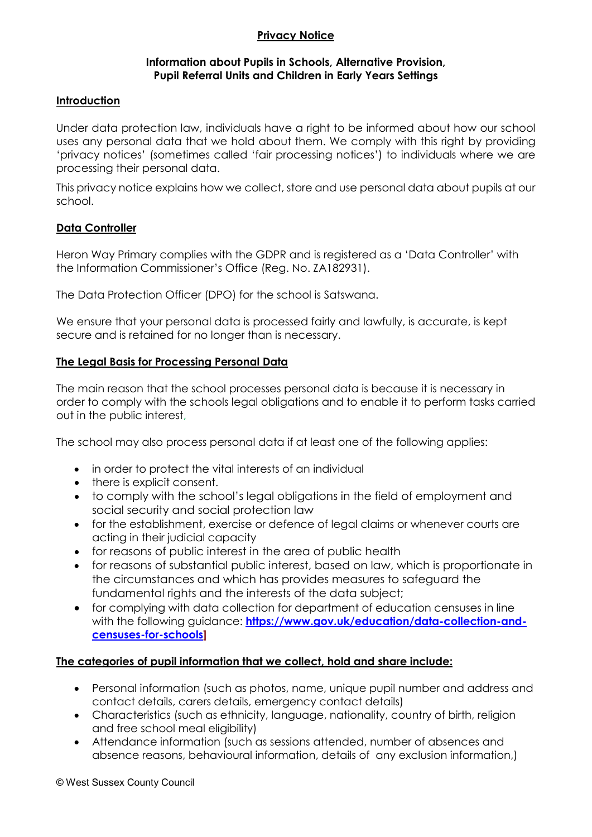# **Privacy Notice**

### **Information about Pupils in Schools, Alternative Provision, Pupil Referral Units and Children in Early Years Settings**

### **Introduction**

Under data protection law, individuals have a right to be informed about how our school uses any personal data that we hold about them. We comply with this right by providing 'privacy notices' (sometimes called 'fair processing notices') to individuals where we are processing their personal data.

This privacy notice explains how we collect, store and use personal data about pupils at our school.

### **Data Controller**

Heron Way Primary complies with the GDPR and is registered as a 'Data Controller' with the Information Commissioner's Office (Reg. No. ZA182931).

The Data Protection Officer (DPO) for the school is Satswana.

We ensure that your personal data is processed fairly and lawfully, is accurate, is kept secure and is retained for no longer than is necessary.

# **The Legal Basis for Processing Personal Data**

The main reason that the school processes personal data is because it is necessary in order to comply with the schools legal obligations and to enable it to perform tasks carried out in the public interest,

The school may also process personal data if at least one of the following applies:

- in order to protect the vital interests of an individual
- there is explicit consent.
- to comply with the school's legal obligations in the field of employment and social security and social protection law
- for the establishment, exercise or defence of legal claims or whenever courts are acting in their judicial capacity
- for reasons of public interest in the area of public health
- for reasons of substantial public interest, based on law, which is proportionate in the circumstances and which has provides measures to safeguard the fundamental rights and the interests of the data subject;
- for complying with data collection for department of education censuses in line with the following guidance: **[https://www.gov.uk/education/data-collection-and](https://www.gov.uk/education/data-collection-and-censuses-for-schools)[censuses-for-schools\]](https://www.gov.uk/education/data-collection-and-censuses-for-schools)**

## **The categories of pupil information that we collect, hold and share include:**

- Personal information (such as photos, name, unique pupil number and address and contact details, carers details, emergency contact details)
- Characteristics (such as ethnicity, language, nationality, country of birth, religion and free school meal eligibility)
- Attendance information (such as sessions attended, number of absences and absence reasons, behavioural information, details of any exclusion information,)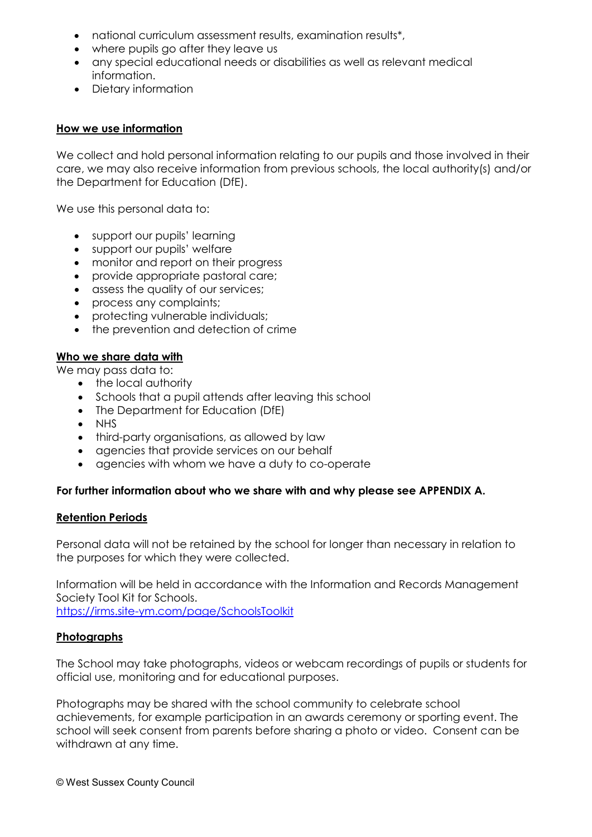- national curriculum assessment results, examination results<sup>\*</sup>,
- where pupils go after they leave us
- any special educational needs or disabilities as well as relevant medical information.
- Dietary information

## **How we use information**

We collect and hold personal information relating to our pupils and those involved in their care, we may also receive information from previous schools, the local authority(s) and/or the Department for Education (DfE).

We use this personal data to:

- support our pupils' learning
- support our pupils' welfare
- monitor and report on their progress
- provide appropriate pastoral care;
- assess the quality of our services;
- process any complaints;
- protecting vulnerable individuals;
- the prevention and detection of crime

# **Who we share data with**

We may pass data to:

- the local authority
- Schools that a pupil attends after leaving this school
- The Department for Education (DfE)
- NHS
- third-party organisations, as allowed by law
- agencies that provide services on our behalf
- agencies with whom we have a duty to co-operate

#### **For further information about who we share with and why please see APPENDIX A.**

#### **Retention Periods**

Personal data will not be retained by the school for longer than necessary in relation to the purposes for which they were collected.

Information will be held in accordance with the Information and Records Management Society Tool Kit for Schools. <https://irms.site-ym.com/page/SchoolsToolkit>

#### **Photographs**

The School may take photographs, videos or webcam recordings of pupils or students for official use, monitoring and for educational purposes.

Photographs may be shared with the school community to celebrate school achievements, for example participation in an awards ceremony or sporting event. The school will seek consent from parents before sharing a photo or video. Consent can be withdrawn at any time.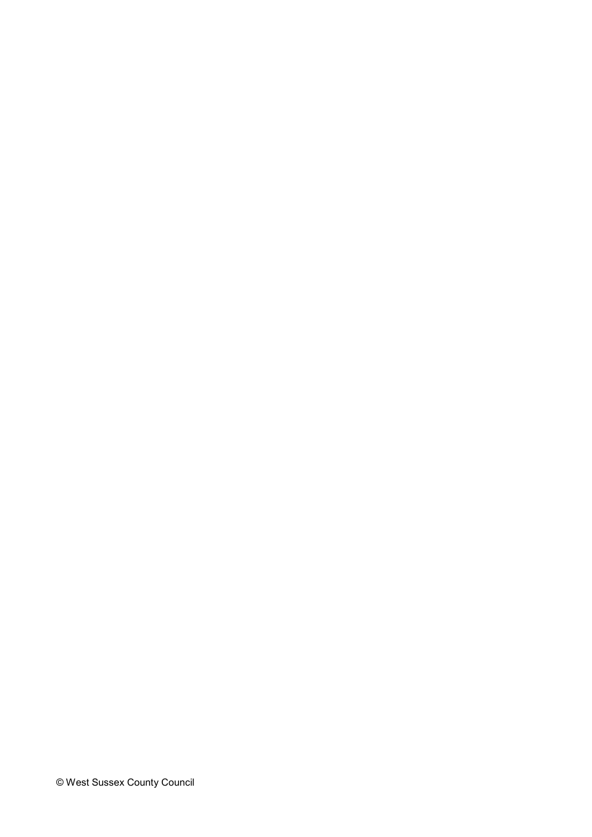© West Sussex County Council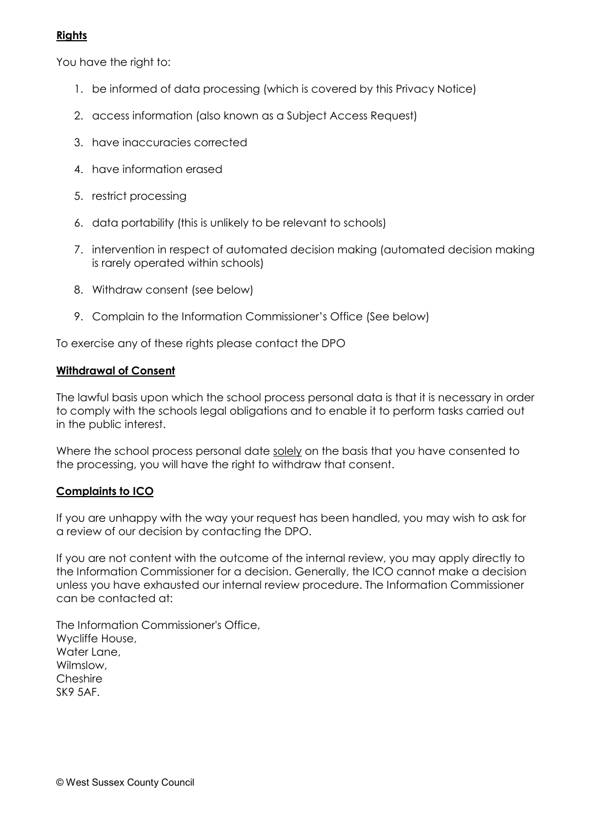# **Rights**

You have the right to:

- 1. be informed of data processing (which is covered by this Privacy Notice)
- 2. access information (also known as a Subject Access Request)
- 3. have inaccuracies corrected
- 4. have information erased
- 5. restrict processing
- 6. data portability (this is unlikely to be relevant to schools)
- 7. intervention in respect of automated decision making (automated decision making is rarely operated within schools)
- 8. Withdraw consent (see below)
- 9. Complain to the Information Commissioner's Office (See below)

To exercise any of these rights please contact the DPO

## **Withdrawal of Consent**

The lawful basis upon which the school process personal data is that it is necessary in order to comply with the schools legal obligations and to enable it to perform tasks carried out in the public interest.

Where the school process personal date solely on the basis that you have consented to the processing, you will have the right to withdraw that consent.

## **Complaints to ICO**

If you are unhappy with the way your request has been handled, you may wish to ask for a review of our decision by contacting the DPO.

If you are not content with the outcome of the internal review, you may apply directly to the Information Commissioner for a decision. Generally, the ICO cannot make a decision unless you have exhausted our internal review procedure. The Information Commissioner can be contacted at:

The Information Commissioner's Office, Wycliffe House, Water Lane, Wilmslow, **Cheshire** SK9 5AF.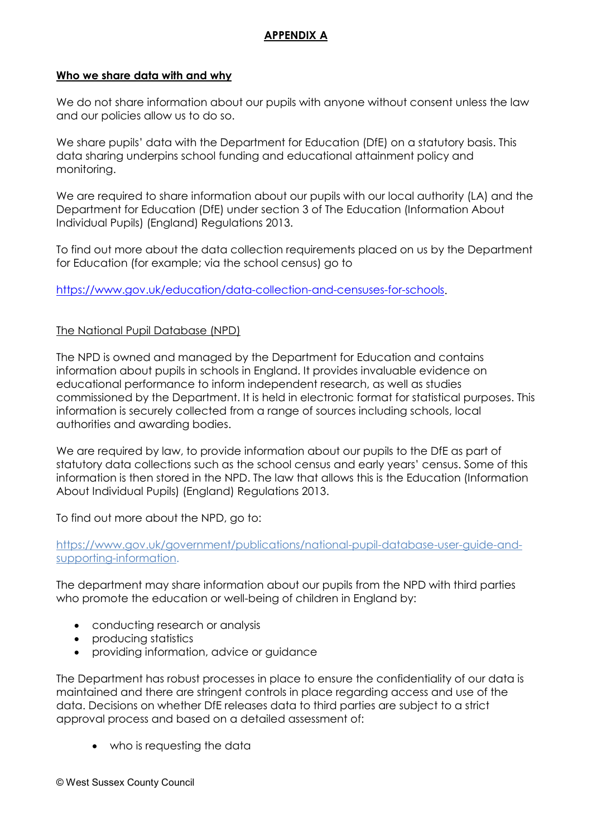# **APPENDIX A**

### **Who we share data with and why**

We do not share information about our pupils with anyone without consent unless the law and our policies allow us to do so.

We share pupils' data with the Department for Education (DfE) on a statutory basis. This data sharing underpins school funding and educational attainment policy and monitoring.

We are required to share information about our pupils with our local authority (LA) and the Department for Education (DfE) under section 3 of The Education (Information About Individual Pupils) (England) Regulations 2013.

To find out more about the data collection requirements placed on us by the Department for Education (for example; via the school census) go to

[https://www.gov.uk/education/data-collection-and-censuses-for-schools.](https://www.gov.uk/education/data-collection-and-censuses-for-schools)

## The National Pupil Database (NPD)

The NPD is owned and managed by the Department for Education and contains information about pupils in schools in England. It provides invaluable evidence on educational performance to inform independent research, as well as studies commissioned by the Department. It is held in electronic format for statistical purposes. This information is securely collected from a range of sources including schools, local authorities and awarding bodies.

We are required by law, to provide information about our pupils to the DfE as part of statutory data collections such as the school census and early years' census. Some of this information is then stored in the NPD. The law that allows this is the Education (Information About Individual Pupils) (England) Regulations 2013.

To find out more about the NPD, go to:

### [https://www.gov.uk/government/publications/national-pupil-database-user-guide-and](https://www.gov.uk/government/publications/national-pupil-database-user-guide-and-supporting-information)[supporting-information.](https://www.gov.uk/government/publications/national-pupil-database-user-guide-and-supporting-information)

The department may share information about our pupils from the NPD with third parties who promote the education or well-being of children in England by:

- conducting research or analysis
- producing statistics
- providing information, advice or guidance

The Department has robust processes in place to ensure the confidentiality of our data is maintained and there are stringent controls in place regarding access and use of the data. Decisions on whether DfE releases data to third parties are subject to a strict approval process and based on a detailed assessment of:

• who is requesting the data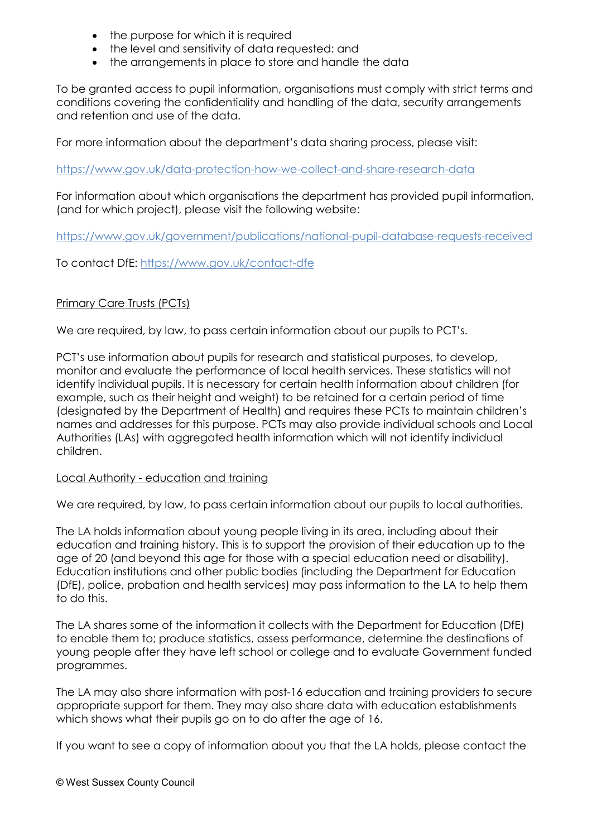- the purpose for which it is required
- the level and sensitivity of data requested: and
- the arrangements in place to store and handle the data

To be granted access to pupil information, organisations must comply with strict terms and conditions covering the confidentiality and handling of the data, security arrangements and retention and use of the data.

For more information about the department's data sharing process, please visit:

<https://www.gov.uk/data-protection-how-we-collect-and-share-research-data>

For information about which organisations the department has provided pupil information, (and for which project), please visit the following website:

<https://www.gov.uk/government/publications/national-pupil-database-requests-received>

To contact DfE:<https://www.gov.uk/contact-dfe>

# Primary Care Trusts (PCTs)

We are required, by law, to pass certain information about our pupils to PCT's.

PCT's use information about pupils for research and statistical purposes, to develop, monitor and evaluate the performance of local health services. These statistics will not identify individual pupils. It is necessary for certain health information about children (for example, such as their height and weight) to be retained for a certain period of time (designated by the Department of Health) and requires these PCTs to maintain children's names and addresses for this purpose. PCTs may also provide individual schools and Local Authorities (LAs) with aggregated health information which will not identify individual children.

## Local Authority - education and training

We are required, by law, to pass certain information about our pupils to local authorities.

The LA holds information about young people living in its area, including about their education and training history. This is to support the provision of their education up to the age of 20 (and beyond this age for those with a special education need or disability). Education institutions and other public bodies (including the Department for Education (DfE), police, probation and health services) may pass information to the LA to help them to do this.

The LA shares some of the information it collects with the Department for Education (DfE) to enable them to; produce statistics, assess performance, determine the destinations of young people after they have left school or college and to evaluate Government funded programmes.

The LA may also share information with post-16 education and training providers to secure appropriate support for them. They may also share data with education establishments which shows what their pupils go on to do after the age of 16.

If you want to see a copy of information about you that the LA holds, please contact the